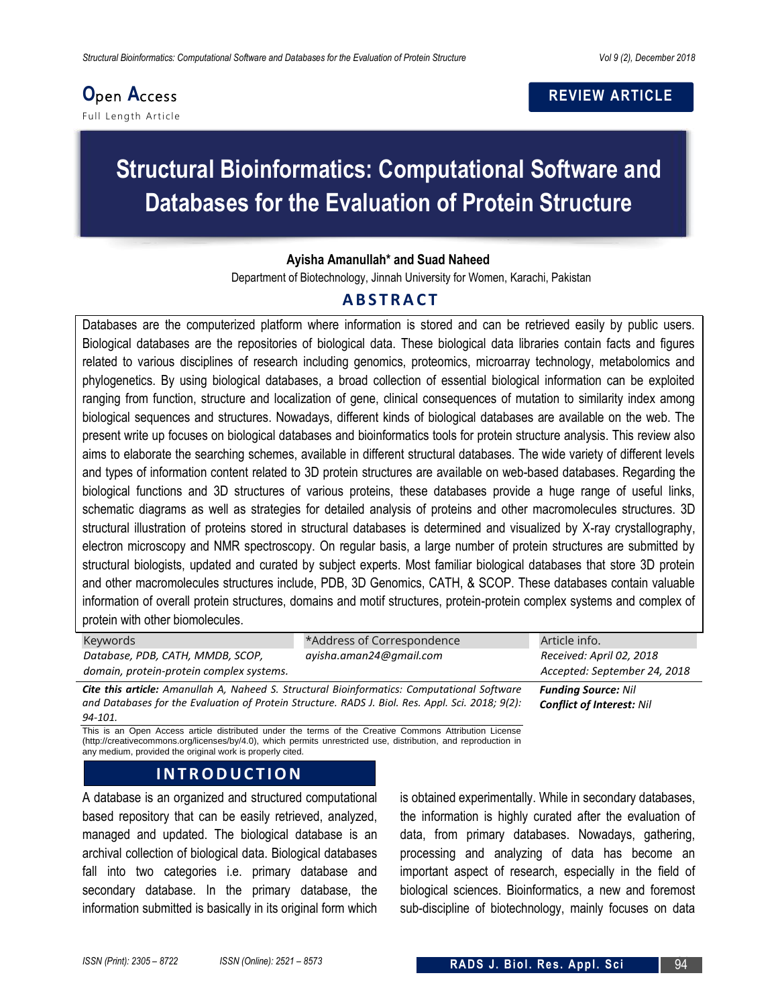# **O**pen **A**ccess

Full Leng th Article

## **REVIEW ARTICLE**

# **Structural Bioinformatics: Computational Software and Databases for the Evaluation of Protein Structure**

#### **Ayisha Amanullah\* and Suad Naheed**

Department of Biotechnology, Jinnah University for Women, Karachi, Pakistan

# **A B S T R A C T**

Databases are the computerized platform where information is stored and can be retrieved easily by public users. Biological databases are the repositories of biological data. These biological data libraries contain facts and figures related to various disciplines of research including genomics, proteomics, microarray technology, metabolomics and phylogenetics. By using biological databases, a broad collection of essential biological information can be exploited ranging from function, structure and localization of gene, clinical consequences of mutation to similarity index among biological sequences and structures. Nowadays, different kinds of biological databases are available on the web. The present write up focuses on biological databases and bioinformatics tools for protein structure analysis. This review also aims to elaborate the searching schemes, available in different structural databases. The wide variety of different levels and types of information content related to 3D protein structures are available on web-based databases. Regarding the biological functions and 3D structures of various proteins, these databases provide a huge range of useful links, schematic diagrams as well as strategies for detailed analysis of proteins and other macromolecules structures. 3D structural illustration of proteins stored in structural databases is determined and visualized by X-ray crystallography, electron microscopy and NMR spectroscopy. On regular basis, a large number of protein structures are submitted by structural biologists, updated and curated by subject experts. Most familiar biological databases that store 3D protein and other macromolecules structures include, PDB, 3D Genomics, CATH, & SCOP. These databases contain valuable information of overall protein structures, domains and motif structures, protein-protein complex systems and complex of protein with other biomolecules.

| Keywords                                                                                           | *Address of Correspondence   | Article info.            |
|----------------------------------------------------------------------------------------------------|------------------------------|--------------------------|
| Database, PDB, CATH, MMDB, SCOP,                                                                   | ayisha.aman24@amail.com      | Received: April 02, 2018 |
| domain, protein-protein complex systems.                                                           | Accepted: September 24, 2018 |                          |
| <b>Cite this article:</b> Amanullah A, Naheed S. Structural Bioinformatics: Computational Software | <b>Funding Source: Nil</b>   |                          |

*and Databases for the Evaluation of Protein Structure. RADS J. Biol. Res. Appl. Sci. 2018; 9(2): 94-101.*

This is an Open Access article distributed under the terms of the Creative Commons Attribution License (http://creativecommons.org/licenses/by/4.0), which permits unrestricted use, distribution, and reproduction in any medium, provided the original work is properly cited.

## **I N T R O D U C T I O N**

A database is an organized and structured computational based repository that can be easily retrieved, analyzed, managed and updated. The biological database is an archival collection of biological data. Biological databases fall into two categories i.e. primary database and secondary database. In the primary database, the information submitted is basically in its original form which

is obtained experimentally. While in secondary databases, the information is highly curated after the evaluation of data, from primary databases. Nowadays, gathering, processing and analyzing of data has become an important aspect of research, especially in the field of biological sciences. Bioinformatics, a new and foremost sub-discipline of biotechnology, mainly focuses on data

*Conflict of Interest: Nil*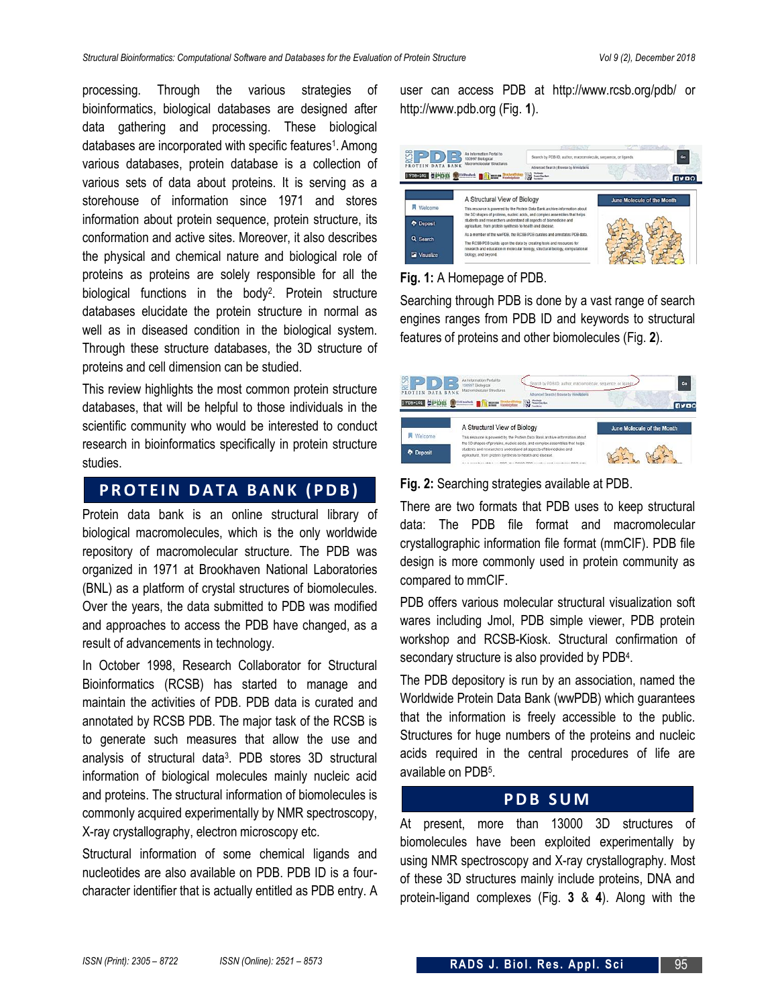processing. Through the various strategies of bioinformatics, biological databases are designed after data gathering and processing. These biological databases are incorporated with specific features<sup>1</sup>. Among various databases, protein database is a collection of various sets of data about proteins. It is serving as a storehouse of information since 1971 and stores information about protein sequence, protein structure, its conformation and active sites. Moreover, it also describes the physical and chemical nature and biological role of proteins as proteins are solely responsible for all the biological functions in the body<sup>2</sup>. Protein structure databases elucidate the protein structure in normal as well as in diseased condition in the biological system. Through these structure databases, the 3D structure of proteins and cell dimension can be studied.

This review highlights the most common protein structure databases, that will be helpful to those individuals in the scientific community who would be interested to conduct research in bioinformatics specifically in protein structure studies.

# **P R O T E I N D A T A B A N K ( P D B )**

Protein data bank is an online structural library of biological macromolecules, which is the only worldwide repository of macromolecular structure. The PDB was organized in 1971 at Brookhaven National Laboratories (BNL) as a platform of crystal structures of biomolecules. Over the years, the data submitted to PDB was modified and approaches to access the PDB have changed, as a result of advancements in technology.

In October 1998, Research Collaborator for Structural Bioinformatics (RCSB) has started to manage and maintain the activities of PDB. PDB data is curated and annotated by RCSB PDB. The major task of the RCSB is to generate such measures that allow the use and analysis of structural data<sup>3</sup> . PDB stores 3D structural information of biological molecules mainly nucleic acid and proteins. The structural information of biomolecules is commonly acquired experimentally by NMR spectroscopy, X-ray crystallography, electron microscopy etc.

Structural information of some chemical ligands and nucleotides are also available on PDB. PDB ID is a fourcharacter identifier that is actually entitled as PDB entry. A user can access PDB at http://www.rcsb.org/pdb/ or http://www.pdb.org (Fig. **1**).



#### **Fig. 1:** A Homepage of PDB.

Searching through PDB is done by a vast range of search engines ranges from PDB ID and keywords to structural features of proteins and other biomolecules (Fig. **2**).

| PROTEIN DATA BANK<br>CPDB<br>$ $ $PDB-101$ | An Information Portal to<br>130997 Biological<br>Macromolecular Structures<br>Advanced Search   Browse by Annotations<br><b>EMDanBask</b><br><b>Engineer Structural Roopy</b><br>Promo Data Bank | Go<br><b>ByBO</b>          |
|--------------------------------------------|--------------------------------------------------------------------------------------------------------------------------------------------------------------------------------------------------|----------------------------|
|                                            | A Structural View of Biology                                                                                                                                                                     | June Molecule of the Month |
| Welcome                                    | This resource is powered by the Protein Data Bank archive-information about<br>the 3D shapes of proteins, nucleic acids, and complex assemblies that helps.                                      |                            |
| <b>Deposit</b>                             | students and researchers understand all aspects of biomedicine and<br>agriculture, from protein synthesis to health and disease.                                                                 |                            |
|                                            | the subject of the complete the subject of the complete the complete the complete the complete the complete the                                                                                  |                            |

#### **Fig. 2:** Searching strategies available at PDB.

There are two formats that PDB uses to keep structural data: The PDB file format and macromolecular crystallographic information file format (mmCIF). PDB file design is more commonly used in protein community as compared to mmCIF.

PDB offers various molecular structural visualization soft wares including Jmol, PDB simple viewer, PDB protein workshop and RCSB-Kiosk. Structural confirmation of secondary structure is also provided by PDB<sup>4</sup>.

The PDB depository is run by an association, named the Worldwide Protein Data Bank (wwPDB) which guarantees that the information is freely accessible to the public*.*  Structures for huge numbers of the proteins and nucleic acids required in the central procedures of life are available on PDB<sup>5</sup>.

## **P D B S U M**

At present, more than 13000 3D structures of biomolecules have been exploited experimentally by using NMR spectroscopy and X-ray crystallography. Most of these 3D structures mainly include proteins, DNA and protein-ligand complexes (Fig. **3** & **4**). Along with the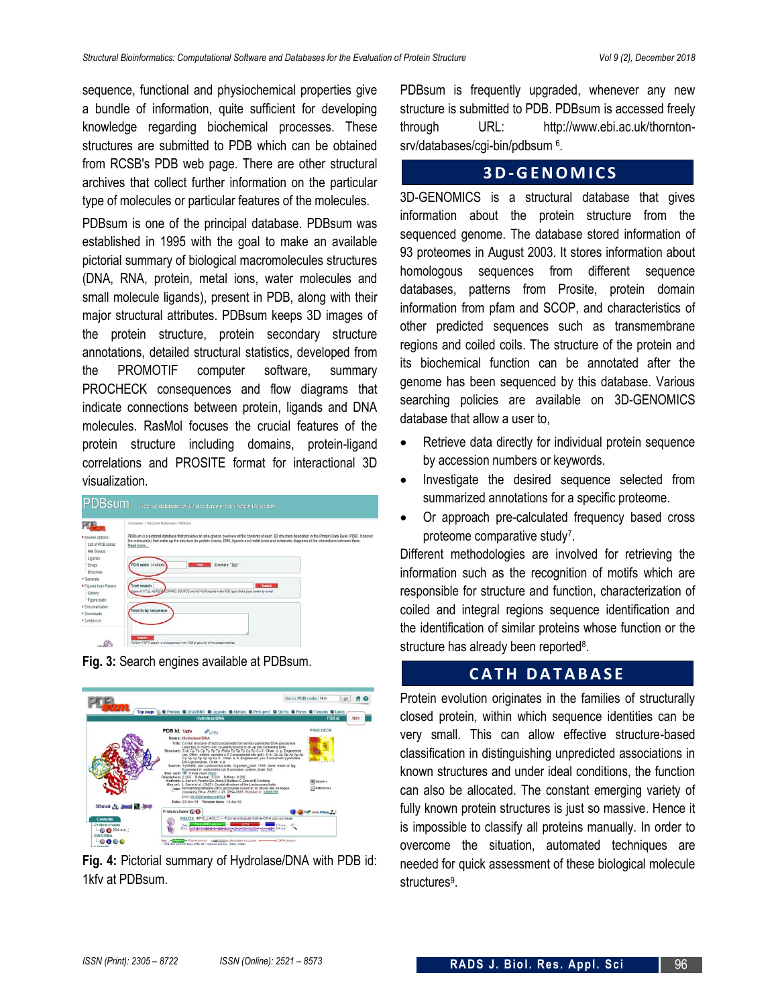sequence, functional and physiochemical properties give a bundle of information, quite sufficient for developing knowledge regarding biochemical processes. These structures are submitted to PDB which can be obtained from RCSB's PDB web page. There are other structural archives that collect further information on the particular type of molecules or particular features of the molecules.

PDBsum is one of the principal database. PDBsum was established in 1995 with the goal to make an available pictorial summary of biological macromolecules structures (DNA, RNA, protein, metal ions, water molecules and small molecule ligands), present in PDB, along with their major structural attributes. PDBsum keeps 3D images of the protein structure, protein secondary structure annotations, detailed structural statistics, developed from the PROMOTIF computer software, summary PROCHECK consequences and flow diagrams that indicate connections between protein, ligands and DNA molecules. RasMol focuses the crucial features of the protein structure including domains, protein-ligand correlations and PROSITE format for interactional 3D visualization.

| PDBsum                                                                          | Pictorial database of 3D structures in the Protein Data Bank                                                                                                                                                                                                                                                                      |
|---------------------------------------------------------------------------------|-----------------------------------------------------------------------------------------------------------------------------------------------------------------------------------------------------------------------------------------------------------------------------------------------------------------------------------|
|                                                                                 |                                                                                                                                                                                                                                                                                                                                   |
| PD                                                                              | Databases > Structure Databases > PDReum                                                                                                                                                                                                                                                                                          |
| · Browse options:<br>List of PDR codes<br>Het Groups                            | PDBsum is a pictorial database that provides an at-a-glance overview of the contents of each 3D structure deposited in the Protein Data Bank (PDB). It shows<br>the molecule(s) that make up the structure (ie protein chains, DNA, ligands and metal ions) and schematic diagrams of the interactions between them.<br>Read more |
| Ligands<br>Drugs<br>Enzymes                                                     | PDB code (4 chars)<br>Example: "1kfv"<br>Find                                                                                                                                                                                                                                                                                     |
| * Generate                                                                      |                                                                                                                                                                                                                                                                                                                                   |
| <b>Figures from Papers</b><br>Gallery<br>Figure stats                           | Text search<br>Search<br>Cans at TITLE, HEADER COMPACI, SOURCE and AUTHOR records in the PDB (eq to find a given protein by name).                                                                                                                                                                                                |
| <sup>8</sup> Documentation<br><sup>a</sup> Downloads<br><sup>#</sup> Contact us | Search by sequence                                                                                                                                                                                                                                                                                                                |
|                                                                                 | Search<br>Perform FASTA search vs all sequences in the PDB to get a list of the closest matches.                                                                                                                                                                                                                                  |





**Fig. 4:** Pictorial summary of Hydrolase/DNA with PDB id: 1kfv at PDBsum.

PDBsum is frequently upgraded, whenever any new structure is submitted to PDB. PDBsum is accessed freely through URL: http://www.ebi.ac.uk/thorntonsrv/databases/cgi-bin/pdbsum <sup>6</sup>.

# **3 D-G E N O M I C S**

3D-GENOMICS is a structural database that gives information about the protein structure from the sequenced genome. The database stored information of 93 proteomes in August 2003. It stores information about homologous sequences from different sequence databases, patterns from Prosite, protein domain information from pfam and SCOP, and characteristics of other predicted sequences such as transmembrane regions and coiled coils. The structure of the protein and its biochemical function can be annotated after the genome has been sequenced by this database. Various searching policies are available on 3D-GENOMICS database that allow a user to,

- Retrieve data directly for individual protein sequence by accession numbers or keywords.
- Investigate the desired sequence selected from summarized annotations for a specific proteome.
- Or approach pre-calculated frequency based cross proteome comparative study<sup>7</sup>.

Different methodologies are involved for retrieving the information such as the recognition of motifs which are responsible for structure and function, characterization of coiled and integral regions sequence identification and the identification of similar proteins whose function or the structure has already been reported<sup>8</sup>.

# **CATH DATABASE**

Protein evolution originates in the families of structurally closed protein, within which sequence identities can be very small. This can allow effective structure-based classification in distinguishing unpredicted associations in known structures and under ideal conditions, the function can also be allocated. The constant emerging variety of fully known protein structures is just so massive. Hence it is impossible to classify all proteins manually. In order to overcome the situation, automated techniques are needed for quick assessment of these biological molecule structures<sup>9</sup>.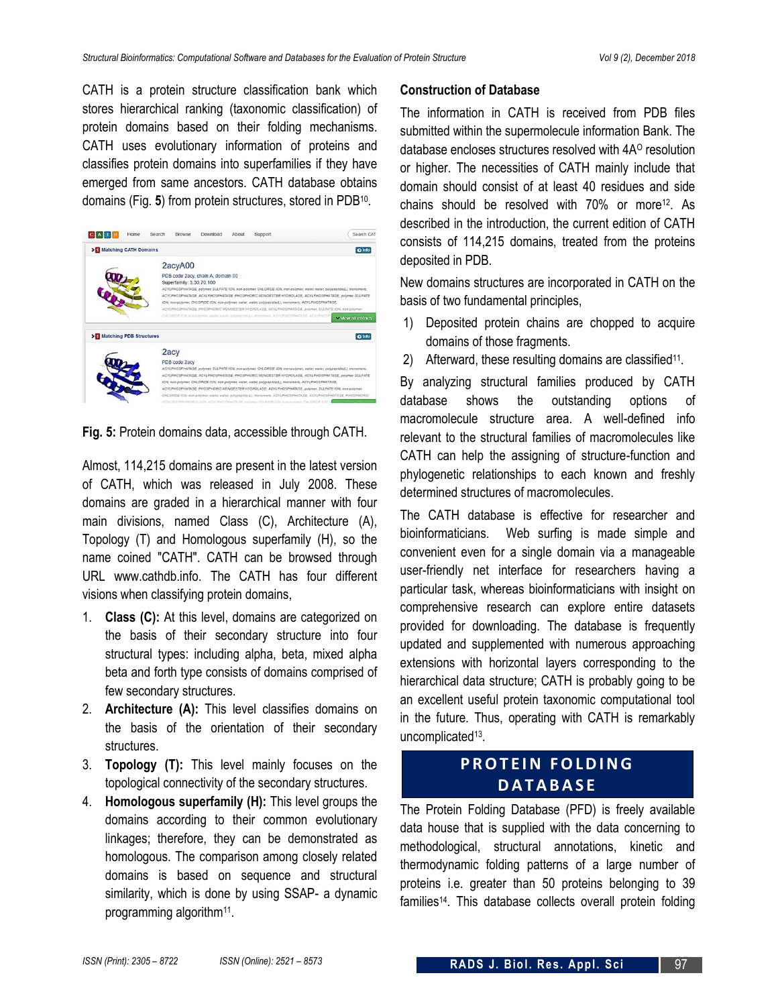CATH is a protein structure classification bank which stores hierarchical ranking (taxonomic classification) of protein domains based on their folding mechanisms. CATH uses evolutionary information of proteins and classifies protein domains into superfamilies if they have emerged from same ancestors. CATH database obtains domains (Fig. **5**) from protein structures, stored in PDB<sup>10</sup> .

| C A TH<br>Home<br>Search | Download<br>About<br>Support<br>Browse                                                                                                                                                                                        | Search CAT        |
|--------------------------|-------------------------------------------------------------------------------------------------------------------------------------------------------------------------------------------------------------------------------|-------------------|
| > Matching CATH Domains  |                                                                                                                                                                                                                               | @ Info            |
|                          | 2acyA00                                                                                                                                                                                                                       |                   |
|                          | PDB code 2acy, chain A, domain 00<br>Superfamily: 3.30.70.100                                                                                                                                                                 |                   |
|                          | ACYLPHOSPHATASE, polymer SULFATE ION, non-polymer, CHLORIDE ION, non-polymer, water, water, polypeptide(L), monomeric,<br>ACYLPHOSPHATASE, ACYLPHOSPHATASE, PHOSPHORIC MONOESTER HYDROLASE, ACYLPHOSPHATASE, polymer, SULFATE |                   |
|                          | ION, non-polymer, CHLORIDE ION, non-polymer, water, water, polypeptide(L), monomeric, ACYLPHOSPHATASE.<br>ACVLPHOSPHATASE, PHOSPHORIC MONOESTER HYDROLASE, ACVLPHOSPHATASE, polymer, SULFATE ION, non-polymer,                |                   |
|                          | ORLORIDE ION non-colmer water water polyreatilists, monomeric ACYLPHOSPHATASE ACYLPHOSP                                                                                                                                       | w Vew all entries |
| >Matching PDB Structures |                                                                                                                                                                                                                               | <b>Q</b> Info     |
|                          | 2acy                                                                                                                                                                                                                          |                   |
|                          | PDB code 2acv                                                                                                                                                                                                                 |                   |
|                          | ACYLPHOSPHATASE, polymer, SULFATE ION, non-polymer, CHLORIDE ION, non-polymer, water, enlypeptide(L), monomeric,<br>ACYLPHOSPHATASE, ACYLPHOSPHATASE, PHOSPHORIC MONOESTER HYDROLASE, ACYLPHOSPHATASE, polimer, SULFATE       |                   |
|                          | ION, non-oolymer, CHLORIDE ION, non-oolymer, water, water, polypeptide(L), monomeric, ACYLPHOSPHATASE.                                                                                                                        |                   |
|                          | ACYLPHOSPHATASE, PHOSPHORIC MONOESTER HYDROLASE, ACYLPHOSPHATASE, polymer, SULFATE ION, non-polymer,                                                                                                                          |                   |
|                          | CHLORIDE ION, non-polymer, water, water, polypeptide(L), monomeric, ACYLPHOSPHATASE, ACYLPHOSPHATASE, PHOSPHORID                                                                                                              |                   |
|                          | MONOESTER HYDROLASE, ACYLPHOSPHATASE, polimac SULFATE ION, nam-polimac OHLORIDE                                                                                                                                               |                   |

**Fig. 5:** Protein domains data, accessible through CATH.

Almost, 114,215 domains are present in the latest version of CATH, which was released in July 2008. These domains are graded in a hierarchical manner with four main divisions, named Class (C), Architecture (A), Topology (T) and Homologous superfamily (H), so the name coined "CATH". CATH can be browsed through URL www.cathdb.info. The CATH has four different visions when classifying protein domains,

- 1. **Class (C):** At this level, domains are categorized on the basis of their secondary structure into four structural types: including alpha, beta, mixed alpha beta and forth type consists of domains comprised of few secondary structures.
- 2. **Architecture (A):** This level classifies domains on the basis of the orientation of their secondary structures.
- 3. **Topology (T):** This level mainly focuses on the topological connectivity of the secondary structures.
- 4. **Homologous superfamily (H):** This level groups the domains according to their common evolutionary linkages; therefore, they can be demonstrated as homologous. The comparison among closely related domains is based on sequence and structural similarity, which is done by using SSAP- a dynamic programming algorithm<sup>11</sup>.

#### **Construction of Database**

The information in CATH is received from PDB files submitted within the supermolecule information Bank. The database encloses structures resolved with 4A<sup>o</sup> resolution or higher. The necessities of CATH mainly include that domain should consist of at least 40 residues and side chains should be resolved with  $70\%$  or more<sup>12</sup>. As described in the introduction, the current edition of CATH consists of 114,215 domains, treated from the proteins deposited in PDB.

New domains structures are incorporated in CATH on the basis of two fundamental principles,

- 1) Deposited protein chains are chopped to acquire domains of those fragments.
- 2) Afterward, these resulting domains are classified<sup>11</sup>.

By analyzing structural families produced by CATH database shows the outstanding options of macromolecule structure area. A well-defined info relevant to the structural families of macromolecules like CATH can help the assigning of structure-function and phylogenetic relationships to each known and freshly determined structures of macromolecules.

The CATH database is effective for researcher and bioinformaticians. Web surfing is made simple and convenient even for a single domain via a manageable user-friendly net interface for researchers having a particular task, whereas bioinformaticians with insight on comprehensive research can explore entire datasets provided for downloading. The database is frequently updated and supplemented with numerous approaching extensions with horizontal layers corresponding to the hierarchical data structure; CATH is probably going to be an excellent useful protein taxonomic computational tool in the future. Thus, operating with CATH is remarkably uncomplicated<sup>13</sup>.

# **PROTEIN FOLDING D A T A B A S E**

The Protein Folding Database (PFD) is freely available data house that is supplied with the data concerning to methodological, structural annotations, kinetic and thermodynamic folding patterns of a large number of proteins i.e. greater than 50 proteins belonging to 39 families14. This database collects overall protein folding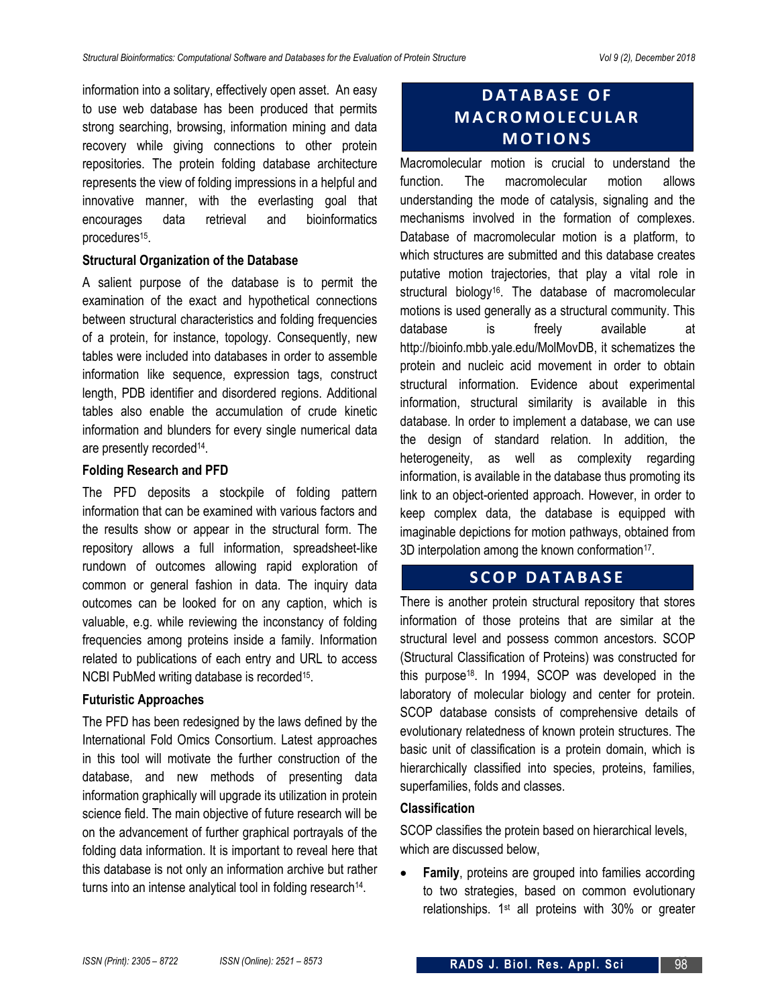information into a solitary, effectively open asset. An easy to use web database has been produced that permits strong searching, browsing, information mining and data recovery while giving connections to other protein repositories. The protein folding database architecture represents the view of folding impressions in a helpful and innovative manner, with the everlasting goal that encourages data retrieval and bioinformatics procedures<sup>15</sup>.

#### **Structural Organization of the Database**

A salient purpose of the database is to permit the examination of the exact and hypothetical connections between structural characteristics and folding frequencies of a protein, for instance, topology. Consequently, new tables were included into databases in order to assemble information like sequence, expression tags, construct length, PDB identifier and disordered regions. Additional tables also enable the accumulation of crude kinetic information and blunders for every single numerical data are presently recorded<sup>14</sup>.

#### **Folding Research and PFD**

The PFD deposits a stockpile of folding pattern information that can be examined with various factors and the results show or appear in the structural form. The repository allows a full information, spreadsheet-like rundown of outcomes allowing rapid exploration of common or general fashion in data. The inquiry data outcomes can be looked for on any caption, which is valuable, e.g. while reviewing the inconstancy of folding frequencies among proteins inside a family. Information related to publications of each entry and URL to access NCBI PubMed writing database is recorded<sup>15</sup>.

#### **Futuristic Approaches**

The PFD has been redesigned by the laws defined by the International Fold Omics Consortium. Latest approaches in this tool will motivate the further construction of the database, and new methods of presenting data information graphically will upgrade its utilization in protein science field. The main objective of future research will be on the advancement of further graphical portrayals of the folding data information. It is important to reveal here that this database is not only an information archive but rather turns into an intense analytical tool in folding research<sup>14</sup>.

# **D A T A B A S E O F M A C R O M O L E C U L A R M O T I O N S**

Macromolecular motion is crucial to understand the function. The macromolecular motion allows understanding the mode of catalysis, signaling and the mechanisms involved in the formation of complexes. Database of macromolecular motion is a platform, to which structures are submitted and this database creates putative motion trajectories, that play a vital role in structural biology<sup>16</sup>. The database of macromolecular motions is used generally as a structural community. This database is freely available at http://bioinfo.mbb.yale.edu/MolMovDB, it schematizes the protein and nucleic acid movement in order to obtain structural information. Evidence about experimental information, structural similarity is available in this database. In order to implement a database, we can use the design of standard relation. In addition, the heterogeneity, as well as complexity regarding information, is available in the database thus promoting its link to an object-oriented approach. However, in order to keep complex data, the database is equipped with imaginable depictions for motion pathways, obtained from 3D interpolation among the known conformation<sup>17</sup>.

## **SCOP DATABASE**

There is another protein structural repository that stores information of those proteins that are similar at the structural level and possess common ancestors. SCOP (Structural Classification of Proteins) was constructed for this purpose<sup>18</sup> . In 1994, SCOP was developed in the laboratory of molecular biology and center for protein. SCOP database consists of comprehensive details of evolutionary relatedness of known protein structures. The basic unit of classification is a protein domain, which is hierarchically classified into species, proteins, families, superfamilies, folds and classes.

#### **Classification**

SCOP classifies the protein based on hierarchical levels, which are discussed below,

 **Family**, proteins are grouped into families according to two strategies, based on common evolutionary relationships. 1st all proteins with 30% or greater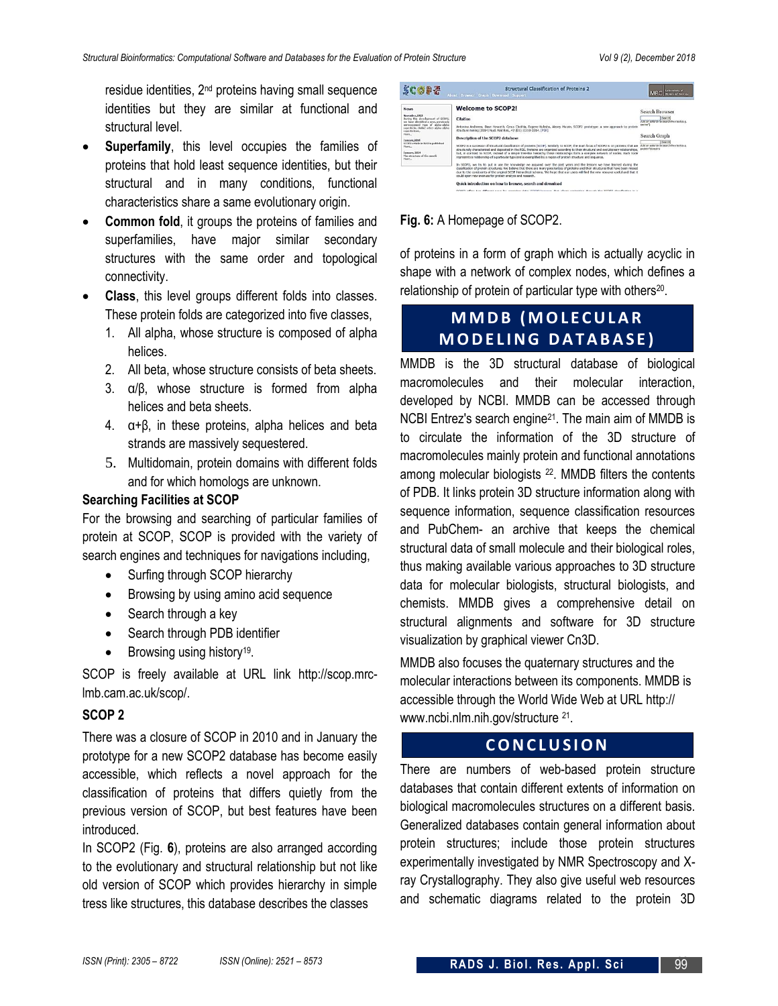residue identities, 2nd proteins having small sequence identities but they are similar at functional and structural level.

- **Superfamily**, this level occupies the families of proteins that hold least sequence identities, but their structural and in many conditions, functional characteristics share a same evolutionary origin.
- **Common fold**, it groups the proteins of families and superfamilies, have major similar secondary structures with the same order and topological connectivity.
- **Class**, this level groups different folds into classes. These protein folds are categorized into five classes,
	- 1. All alpha, whose structure is composed of alpha helices.
	- 2. All beta, whose structure consists of beta sheets.
	- 3. α/β, whose structure is formed from alpha helices and beta sheets.
	- 4. α+β, in these proteins, alpha helices and beta strands are massively sequestered.
	- 5. Multidomain, protein domains with different folds and for which homologs are unknown.

#### **Searching Facilities at SCOP**

For the browsing and searching of particular families of protein at SCOP, SCOP is provided with the variety of search engines and techniques for navigations including,

- Surfing through SCOP hierarchy
- Browsing by using amino acid sequence
- Search through a key
- Search through PDB identifier
- Browsing using history<sup>19</sup>.

SCOP is freely available at URL link http://scop.mrclmb.cam.ac.uk/scop/.

#### **SCOP 2**

There was a closure of SCOP in 2010 and in January the prototype for a new SCOP2 database has become easily accessible, which reflects a novel approach for the classification of proteins that differs quietly from the previous version of SCOP, but best features have been introduced.

In SCOP2 (Fig. **6**), proteins are also arranged according to the evolutionary and structural relationship but not like old version of SCOP which provides hierarchy in simple tress like structures, this database describes the classes

| <b>SCOPE</b>                                                                                                                                                                                                                                                                                                                             | <b>Structural Classification of Proteins 2</b><br>About Browser Graph Download Support                                                                                                                                                                                                                                                                                                                                                                                                                                                                                                                                                                                                                                                                                                                                                                                                                                                                                                                                                                                                                                                                                                                                                                                                                                                                              | aboratory of<br>folemular filolosis                                                                                                                                           |
|------------------------------------------------------------------------------------------------------------------------------------------------------------------------------------------------------------------------------------------------------------------------------------------------------------------------------------------|---------------------------------------------------------------------------------------------------------------------------------------------------------------------------------------------------------------------------------------------------------------------------------------------------------------------------------------------------------------------------------------------------------------------------------------------------------------------------------------------------------------------------------------------------------------------------------------------------------------------------------------------------------------------------------------------------------------------------------------------------------------------------------------------------------------------------------------------------------------------------------------------------------------------------------------------------------------------------------------------------------------------------------------------------------------------------------------------------------------------------------------------------------------------------------------------------------------------------------------------------------------------------------------------------------------------------------------------------------------------|-------------------------------------------------------------------------------------------------------------------------------------------------------------------------------|
| <b>News</b><br>November, 2013<br>During the development of SCOP2.<br>we have identified a new, previously<br>unrecognised type of alpha-alpha<br>superbelic, thicke other alpha-alpha<br>sunsylvelines.<br>Pipee<br>January 2014<br>SCOP2 article in NAR is published<br>Hond.<br>January, 2004<br>The structure of the month.<br>Please | <b>Welcome to SCOP21</b><br>Citation<br>Antonina Andreeva, Dave Howorth, Cyrus Chothia, Eugene Kulesha, Alexey Murzin, SCOP2 prototype: a new approach to protein<br>structure mining (2014) Nucl. Acid Res., 42 (D1): D310-D314, [PDF]<br>Description of the SCOP2 database<br>SCOP2 is a successor of Structural dassfication of proteins (SCOP). Similarly to SCOP, the main focus of SCOP2 is on proteins that are<br>structurally characterized and deposited in the PDB. Proteins are organized according to their structural and evolutionary relationships.<br>but, in contrast to SCDP, instead of a simple tree-like hierarchy these relationships form a complex network of nodes. Each node<br>represents a relationship of a particular type and is exemplified by a region of protein structure and sequence.<br>In SCOP2, we try to put in use the knowledge we acquired over the past years and the lessons we have learned during the<br>dassification of protein structures. We believe that there are many pecularities of proteins and their structures that have been missed<br>due to the constraints of the original SCOP hierarchical schema. We hope that our users will find the new resource useful and that it<br>could open new avenues for protein analysis and research.<br>Quick introduction on how to browse, search and download | Search Browser<br>Ibearch<br>And an acterisk to search free text (e.g.<br>serine")<br>Search Graph<br>fleeres<br>Add an asterisk to search thee text (e.g.<br>protein/domain) |
|                                                                                                                                                                                                                                                                                                                                          | COORS afform that different wour for converses data: COORS because that allows equipation through the COORS development in a                                                                                                                                                                                                                                                                                                                                                                                                                                                                                                                                                                                                                                                                                                                                                                                                                                                                                                                                                                                                                                                                                                                                                                                                                                        |                                                                                                                                                                               |

**Fig. 6:** A Homepage of SCOP2.

of proteins in a form of graph which is actually acyclic in shape with a network of complex nodes, which defines a relationship of protein of particular type with others<sup>20</sup>.

# **MMDB (MOLECULAR M O D E L I N G D A T A B A S E )**

MMDB is the 3D structural database of biological macromolecules and their molecular interaction, developed by NCBI. MMDB can be accessed through NCBI Entrez's search engine<sup>21</sup>. The main aim of MMDB is to circulate the information of the 3D structure of macromolecules mainly protein and functional annotations among molecular biologists <sup>22</sup>. MMDB filters the contents of PDB. It links protein 3D structure information along with sequence information, sequence classification resources and PubChem- an archive that keeps the chemical structural data of small molecule and their biological roles, thus making available various approaches to 3D structure data for molecular biologists, structural biologists, and chemists. MMDB gives a comprehensive detail on structural alignments and software for 3D structure visualization by graphical viewer Cn3D.

MMDB also focuses the quaternary structures and the molecular interactions between its components. MMDB is accessible through the World Wide Web at URL http:// www.ncbi.nlm.nih.gov/structure <sup>21</sup>.

# **C O N C L U S I O N**

There are numbers of web-based protein structure databases that contain different extents of information on biological macromolecules structures on a different basis. Generalized databases contain general information about protein structures; include those protein structures experimentally investigated by NMR Spectroscopy and Xray Crystallography. They also give useful web resources and schematic diagrams related to the protein 3D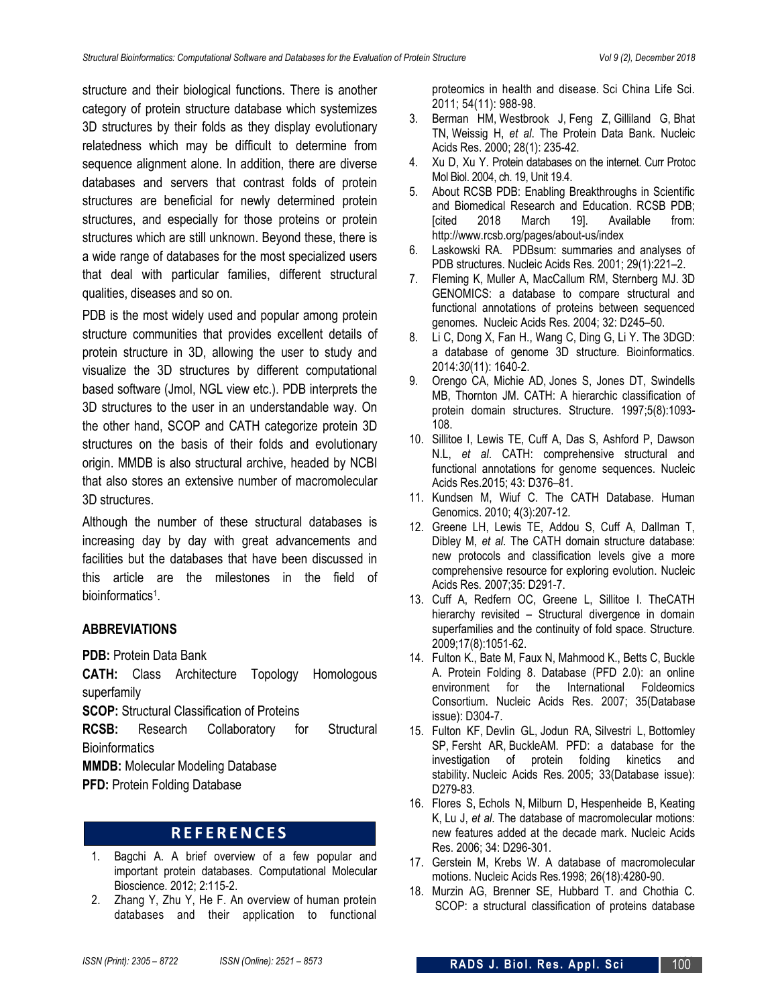structure and their biological functions. There is another category of protein structure database which systemizes 3D structures by their folds as they display evolutionary relatedness which may be difficult to determine from sequence alignment alone. In addition, there are diverse databases and servers that contrast folds of protein structures are beneficial for newly determined protein structures, and especially for those proteins or protein structures which are still unknown. Beyond these, there is a wide range of databases for the most specialized users that deal with particular families, different structural qualities, diseases and so on.

PDB is the most widely used and popular among protein structure communities that provides excellent details of protein structure in 3D, allowing the user to study and visualize the 3D structures by different computational based software (Jmol, NGL view etc.). PDB interprets the 3D structures to the user in an understandable way. On the other hand, SCOP and CATH categorize protein 3D structures on the basis of their folds and evolutionary origin. MMDB is also structural archive, headed by NCBI that also stores an extensive number of macromolecular 3D structures.

Although the number of these structural databases is increasing day by day with great advancements and facilities but the databases that have been discussed in this article are the milestones in the field of bioinformatics<sup>1</sup>.

#### **ABBREVIATIONS**

**PDB:** Protein Data Bank

**CATH:** Class Architecture Topology Homologous superfamily

**SCOP:** Structural Classification of Proteins

**RCSB:** Research Collaboratory for Structural **Bioinformatics** 

**MMDB:** Molecular Modeling Database

**PFD: Protein Folding Database** 

# **R E F E R E N C E S**

- 1. Bagchi A. A brief overview of a few popular and important protein databases. Computational Molecular Bioscience. 2012; 2:115-2.
- 2. Zhang Y, Zhu Y, He F. An overview of human protein databases and their application to functional

proteomics in health and disease. Sci China Life Sci. 2011; 54(11): 988-98.

- 3. Berman HM, Westbrook J, Feng Z, Gilliland G, Bhat TN, Weissig H, *et al*. The Protein Data Bank. Nucleic Acids Res. 2000; 28(1): 235-42.
- 4. Xu D, Xu Y. Protein databases on the internet. Curr Protoc Mol Biol. 2004, ch. 19, Unit 19.4.
- 5. About RCSB PDB: Enabling Breakthroughs in Scientific and Biomedical Research and Education. RCSB PDB; [cited 2018 March 19]. Available from: http://www.rcsb.org/pages/about-us/index
- 6. Laskowski RA. PDBsum: summaries and analyses of PDB structures. Nucleic Acids Res*.* 2001; 29(1):221–2.
- 7. Fleming K, Muller A, MacCallum RM, Sternberg MJ. 3D GENOMICS: a database to compare structural and functional annotations of proteins between sequenced genomes. Nucleic Acids Res*.* 2004; 32: D245–50.
- 8. Li C, Dong X, Fan H., Wang C, Ding G, Li Y. The 3DGD: a database of genome 3D structure. Bioinformatics. 2014:*30*(11): 1640-2.
- 9. Orengo CA, Michie AD, Jones S, Jones DT, Swindells MB, Thornton JM. CATH: A hierarchic classification of protein domain structures. Structure. 1997;5(8):1093- 108.
- 10. Sillitoe I, Lewis TE, Cuff A, Das S, Ashford P, Dawson N.L, *et al*. CATH: comprehensive structural and functional annotations for genome sequences. Nucleic Acids Res.2015; 43: D376–81.
- 11. Kundsen M, Wiuf C. The CATH Database. Human Genomics. 2010; 4(3):207-12.
- 12. Greene LH, Lewis TE, Addou S, Cuff A, Dallman T, Dibley M, *et al*. The CATH domain structure database: new protocols and classification levels give a more comprehensive resource for exploring evolution. Nucleic Acids Res*.* 2007;35: D291-7.
- 13. Cuff A, Redfern OC, Greene L, Sillitoe I. TheCATH hierarchy revisited – Structural divergence in domain superfamilies and the continuity of fold space. Structure*.* 2009;17(8):1051-62.
- 14. Fulton K., Bate M, Faux N, Mahmood K., Betts C, Buckle A. Protein Folding 8. Database (PFD 2.0): an online environment for the International Foldeomics Consortium. Nucleic Acids Res. 2007; 35(Database issue): D304-7.
- 15. Fulton KF, Devlin GL, Jodun RA, Silvestri L, Bottomley SP, Fersht AR, BuckleAM. PFD: a database for the investigation of protein folding kinetics and stability. Nucleic Acids Res*.* 2005; 33(Database issue): D279-83.
- 16. Flores S, Echols N, Milburn D, Hespenheide B, Keating K, Lu J, *et al*. The database of macromolecular motions: new features added at the decade mark. Nucleic Acids Res. 2006; 34: D296-301.
- 17. Gerstein M, Krebs W. A database of macromolecular motions. Nucleic Acids Res*.*1998; 26(18):4280-90.
- 18. Murzin AG, Brenner SE, Hubbard T. and Chothia C. SCOP: a structural classification of proteins database